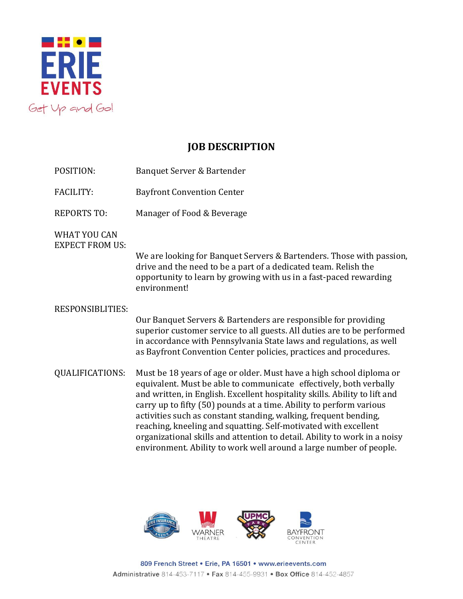

## **JOB DESCRIPTION**

- POSITION: Banquet Server & Bartender
- FACILITY: Bayfront Convention Center
- REPORTS TO: Manager of Food & Beverage

WHAT YOU CAN EXPECT FROM US:

> We are looking for Banquet Servers & Bartenders. Those with passion, drive and the need to be a part of a dedicated team. Relish the opportunity to learn by growing with us in a fast-paced rewarding environment!

## RESPONSIBLITIES:

Our Banquet Servers & Bartenders are responsible for providing superior customer service to all guests. All duties are to be performed in accordance with Pennsylvania State laws and regulations, as well as Bayfront Convention Center policies, practices and procedures.

QUALIFICATIONS: Must be 18 years of age or older. Must have a high school diploma or equivalent. Must be able to communicate effectively, both verbally and written, in English. Excellent hospitality skills. Ability to lift and carry up to fifty (50) pounds at a time. Ability to perform various activities such as constant standing, walking, frequent bending, reaching, kneeling and squatting. Self-motivated with excellent organizational skills and attention to detail. Ability to work in a noisy environment. Ability to work well around a large number of people.



809 French Street . Erie, PA 16501 . www.erieevents.com Administrative 814-453-7117 . Fax 814-455-9931 . Box Office 814-452-4857